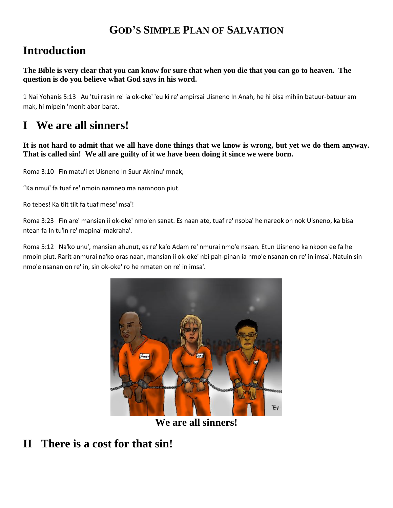#### **GOD'S SIMPLE PLAN OF SALVATION**

# **Introduction**

**The Bible is very clear that you can know for sure that when you die that you can go to heaven. The question is do you believe what God says in his word.**

1 Nai Yohanis 5:13 Au 'tui rasin re' ia ok-oke' 'eu ki re' ampirsai Uisneno In Anah, he hi bisa mihiin batuur-batuur am mak, hi mipein 'monit abar-barat.

# **I We are all sinners!**

**It is not hard to admit that we all have done things that we know is wrong, but yet we do them anyway. That is called sin! We all are guilty of it we have been doing it since we were born.**

Roma 3:10 Fin matu'i et Uisneno In Suur Akninu' mnak,

"Ka nmui' fa tuaf re' nmoin namneo ma namnoon piut.

Ro tebes! Ka tiit tiit fa tuaf mese' msa'!

Roma 3:23 Fin are' mansian ii ok-oke' nmo'en sanat. Es naan ate, tuaf re' nsoba' he nareok on nok Uisneno, ka bisa ntean fa In tu'in re' mapina'-makraha'.

Roma 5:12 Na'ko unu', mansian ahunut, es re' ka'o Adam re' nmurai nmo'e nsaan. Etun Uisneno ka nkoon ee fa he nmoin piut. Rarit anmurai na'ko oras naan, mansian ii ok-oke' nbi pah-pinan ia nmo'e nsanan on re' in imsa'. Natuin sin nmo'e nsanan on re' in, sin ok-oke' ro he nmaten on re' in imsa'.



**We are all sinners!**

#### **II There is a cost for that sin!**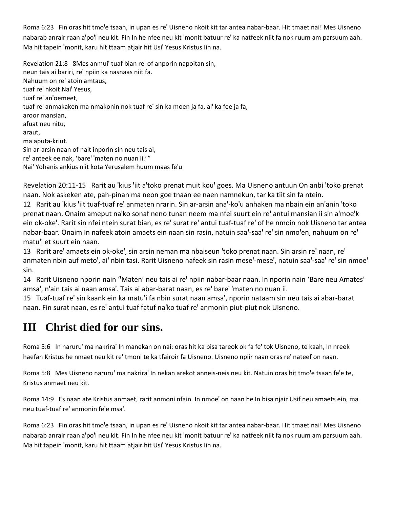Roma 6:23 Fin oras hit tmo'e tsaan, in upan es re' Uisneno nkoit kit tar antea nabar-baar. Hit tmaet nai! Mes Uisneno nabarab anrair raan a'po'i neu kit. Fin In he nfee neu kit 'monit batuur re' ka natfeek niit fa nok ruum am parsuum aah. Ma hit tapein 'monit, karu hit ttaam atjair hit Usi' Yesus Kristus Iin na.

Revelation 21:8 8Mes anmui' tuaf bian re' of anporin napoitan sin, neun tais ai bariri, re' npiin ka nasnaas niit fa. Nahuum on re' atoin amtaus, tuaf re' nkoit Nai' Yesus, tuaf re' an'oemeet, tuaf re' anmakaken ma nmakonin nok tuaf re' sin ka moen ja fa, ai' ka fee ja fa, aroor mansian, afuat neu nitu, araut, ma aputa-kriut. Sin ar-arsin naan of nait inporin sin neu tais ai, re' anteek ee nak, 'bare' 'maten no nuan ii.' " Nai' Yohanis ankius niit kota Yerusalem huum maas fe'u

Revelation 20:11-15 Rarit au 'kius 'iit a'toko prenat muit kou' goes. Ma Uisneno antuun On anbi 'toko prenat naan. Nok askeken ate, pah-pinan ma neon goe tnaan ee naen namnekun, tar ka tiit sin fa ntein.

12 Rarit au 'kius 'iit tuaf-tuaf re' anmaten nrarin. Sin ar-arsin ana'-ko'u anhaken ma nbain ein an'anin 'toko prenat naan. Onaim ameput na'ko sonaf neno tunan neem ma nfei suurt ein re' antui mansian ii sin a'moe'k ein ok-oke'. Rarit sin nfei ntein surat bian, es re' surat re' antui tuaf-tuaf re' of he nmoin nok Uisneno tar antea nabar-baar. Onaim In nafeek atoin amaets ein naan sin rasin, natuin saa'-saa' re' sin nmo'en, nahuum on re' matu'i et suurt ein naan.

13 Rarit are' amaets ein ok-oke', sin arsin neman ma nbaiseun 'toko prenat naan. Sin arsin re' naan, re' anmaten nbin auf meto', ai' nbin tasi. Rarit Uisneno nafeek sin rasin mese'-mese', natuin saa'-saa' re' sin nmoe' sin.

14 Rarit Uisneno nporin nain "Maten' neu tais ai re' npiin nabar-baar naan. In nporin nain 'Bare neu Amates' amsa', n'ain tais ai naan amsa'. Tais ai abar-barat naan, es re' bare' 'maten no nuan ii.

15 Tuaf-tuaf re' sin kaank ein ka matu'i fa nbin surat naan amsa', nporin nataam sin neu tais ai abar-barat naan. Fin surat naan, es re' antui tuaf fatuf na'ko tuaf re' anmonin piut-piut nok Uisneno.

# **III Christ died for our sins.**

Roma 5:6 In naruru' ma nakrira' In manekan on nai: oras hit ka bisa tareok ok fa fe' tok Uisneno, te kaah, In nreek haefan Kristus he nmaet neu kit re' tmoni te ka tfairoir fa Uisneno. Uisneno npiir naan oras re' nateef on naan.

Roma 5:8 Mes Uisneno naruru' ma nakrira' In nekan arekot anneis-neis neu kit. Natuin oras hit tmo'e tsaan fe'e te, Kristus anmaet neu kit.

Roma 14:9 Es naan ate Kristus anmaet, rarit anmoni nfain. In nmoe' on naan he In bisa njair Usif neu amaets ein, ma neu tuaf-tuaf re' anmonin fe'e msa'.

Roma 6:23 Fin oras hit tmo'e tsaan, in upan es re' Uisneno nkoit kit tar antea nabar-baar. Hit tmaet nai! Mes Uisneno nabarab anrair raan a'po'i neu kit. Fin In he nfee neu kit 'monit batuur re' ka natfeek niit fa nok ruum am parsuum aah. Ma hit tapein 'monit, karu hit ttaam atjair hit Usi' Yesus Kristus Iin na.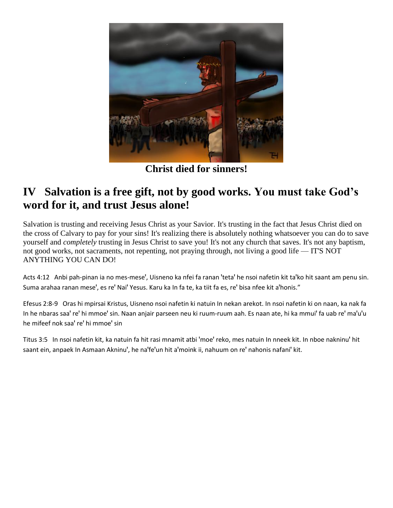

**Christ died for sinners!**

#### **IV Salvation is a free gift, not by good works. You must take God's word for it, and trust Jesus alone!**

Salvation is trusting and receiving Jesus Christ as your Savior. It's trusting in the fact that Jesus Christ died on the cross of Calvary to pay for your sins! It's realizing there is absolutely nothing whatsoever you can do to save yourself and *completely* trusting in Jesus Christ to save you! It's not any church that saves. It's not any baptism, not good works, not sacraments, not repenting, not praying through, not living a good life — IT'S NOT ANYTHING YOU CAN DO!

Acts 4:12 Anbi pah-pinan ia no mes-mese', Uisneno ka nfei fa ranan 'teta' he nsoi nafetin kit ta'ko hit saant am penu sin. Suma arahaa ranan mese', es re' Nai' Yesus. Karu ka In fa te, ka tiit fa es, re' bisa nfee kit a'honis."

Efesus 2:8-9 Oras hi mpirsai Kristus, Uisneno nsoi nafetin ki natuin In nekan arekot. In nsoi nafetin ki on naan, ka nak fa In he nbaras saa' re' hi mmoe' sin. Naan anjair parseen neu ki ruum-ruum aah. Es naan ate, hi ka mmui' fa uab re' ma'u'u he mifeef nok saa' re' hi mmoe' sin

Titus 3:5 In nsoi nafetin kit, ka natuin fa hit rasi mnamit atbi 'moe' reko, mes natuin In nneek kit. In nboe nakninu' hit saant ein, anpaek In Asmaan Akninu', he na'fe'un hit a'moink ii, nahuum on re' nahonis nafani' kit.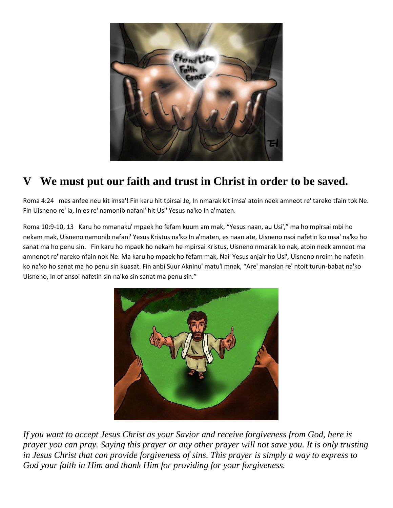

# **V We must put our faith and trust in Christ in order to be saved.**

Roma 4:24 mes anfee neu kit imsa'! Fin karu hit tpirsai Je, In nmarak kit imsa' atoin neek amneot re' tareko tfain tok Ne. Fin Uisneno re' ia, In es re' namonib nafani' hit Usi' Yesus na'ko In a'maten.

Roma 10:9-10, 13 Karu ho mmanaku' mpaek ho fefam kuum am mak, "Yesus naan, au Usi'," ma ho mpirsai mbi ho nekam mak, Uisneno namonib nafani' Yesus Kristus na'ko In a'maten, es naan ate, Uisneno nsoi nafetin ko msa' na'ko ho sanat ma ho penu sin. Fin karu ho mpaek ho nekam he mpirsai Kristus, Uisneno nmarak ko nak, atoin neek amneot ma amnonot re' nareko nfain nok Ne. Ma karu ho mpaek ho fefam mak, Nai' Yesus anjair ho Usi', Uisneno nroim he nafetin ko na'ko ho sanat ma ho penu sin kuasat. Fin anbi Suur Akninu' matu'i mnak, "Are' mansian re' ntoit turun-babat na'ko Uisneno, In of ansoi nafetin sin na'ko sin sanat ma penu sin."



*If you want to accept Jesus Christ as your Savior and receive forgiveness from God, here is prayer you can pray. Saying this prayer or any other prayer will not save you. It is only trusting in Jesus Christ that can provide forgiveness of sins. This prayer is simply a way to express to God your faith in Him and thank Him for providing for your forgiveness.*